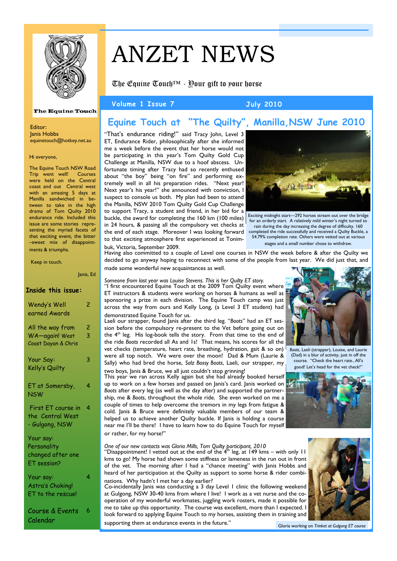

# ANZET NEWS

The Equine Touch™ - Your gift to your horse

Volume 1 Issue 7 **July 2010** 

# **Equine Touch at "The Quilty", Manilla,NSW June 2010**

"That's endurance riding!" said Tracy John, Level 3 ET, Endurance Rider, philosophically after she informed me a week before the event that her horse would not be participating in this year's Tom Quilty Gold Cup Challenge at Manilla, NSW due to a hoof abscess. Unfortunate timing after Tracy had so recently enthused about "the boy" being "on fire" and performing extremely well in all his preparation rides. "Next year! Next year's his year!" she announced with conviction, I suspect to console us both. My plan had been to attend the Manilla, NSW 2010 Tom Quilty Gold Cup Challenge to support Tracy, a student and friend, in her bid for a buckle, the award for completing the 160 km (100 miles) in 24 hours, & passing all the compulsory vet checks at the end of each stage. Moreover I was looking forward to that exciting atmosphere first experienced at Tonimbuk, Victoria, September 2009.



Exciting midnight start—292 horses stream out over the bridge for an orderly start. A relatively mild winter's night turned to rain during the day increasing the degree of difficulty. 160 completed the ride successfully and received a Quilty Buckle, a 54.79% completion rate. Others were vetted out at various stages and a small number chose to withdraw.

Having also committed to a couple of Level one courses in NSW the week before & after the Quilty we decided to go anyway hoping to reconnect with some of the people from last year. We did just that, and made some wonderful new acquaintances as well.

*Someone from last year was Louise Stevens. This is her Quilty ET story.*  "I first encountered Equine Touch at the 2009 Tom Quilty event where ET instructors & students were working on horses & humans as well as sponsoring a prize in each division. The Equine Touch camp was just across the way from ours and Kelly Long, (a Level 3 ET student) had demonstrated Equine Touch for us.

Laeli our strapper, found Janis after the third leg. "*Boots*" had an ET session before the compulsory re-present to the Vet before going out on the 4<sup>th</sup> leg. His log-book tells the story. From that time to the end of the ride *Boots* recorded all As and 1s! That means, his scores for all the vet checks (temperature, heart rate, breathing, hydration, gait & so on) were all top notch. We were over the moon! Dad & Mum (Laurie & Sally) who had bred the horse, *Salz Bossy Boots*, Laeli, our strapper, my

two boys, Janis & Bruce, we all just couldn't stop grinning! This year we ran across Kelly again but she had already booked herself up to work on a few horses and passed on Janis's card. Janis worked on *Boots* after every leg (as well as the day after) and supported the partnership, me & *Boots*, throughout the whole ride. She even worked on me a couple of times to help overcome the tremors in my legs from fatigue & cold. Janis & Bruce were definitely valuable members of our team & helped us to achieve another Quilty buckle. If Janis is holding a course near me I'll be there! I have to learn how to do Equine Touch for myself or rather, for my horse!"

One of our new contacts was Gloria Mills, Tom Quilty participant, 2010<br>"Disappointment! I vetted out at the end of the 4<sup>th</sup> leg, at 149 kms – with only 11 kms to go! My horse had shown some stiffness or lameness in the run out in front of the vet. The morning after I had a "chance meeting" with Janis Hobbs and heard of her participation at the Quilty as support to some horse & rider combinations. Why hadn't I met her a day earlier?

Co-incidentally Janis was conducting a 3 day Level 1 clinic the following weekend at Gulgong, NSW 30-40 kms from where I live! I work as a vet nurse and the cooperation of my wonderful workmates, juggling work rosters, made it possible for me to take up this opportunity. The course was excellent, more than I expected. I look forward to applying Equine Touch to my horses, assisting them in training and supporting them at endurance events in the future."



*Boots*, Laeli (strapper), Louise, and Laurie (Dad) in a blur of activity, just in off the course. "Check the heart rate...All's good! Let's head for the vet check!"





Gloria working on *Trinket at Gulgong ET course*

### **The Equine Touch**

Editor: Janis Hobbs equinetouch@hotkey.net.au

Hi everyone,

The Equine Touch NSW Road Trip went well! Courses were held on the Central coast and out Central west with an amazing 5 days at Manilla sandwiched in between to take in the high drama of Tom Quilty 2010 endurance ride. Included this issue are some stories representing the myriad facets of that exciting event, the bitter –sweet mix of disappointments & triumphs.

Keep in touch.

### Janis, Ed

### **Inside this issue:**

| Wendy's Well<br>earned Awards                                | 2      |
|--------------------------------------------------------------|--------|
| All the way from<br>WA-again! West<br>Coast Dayan & Chris    | 2<br>3 |
| Your Say:<br>Kelly's Quilty                                  | 3      |
| ET at Somersby,<br><b>NSW</b>                                | 4      |
| First ET course in<br>the Central West<br>- Gulgong, NSW     | 4      |
| Your say:<br>Personality<br>changed after one<br>ET session? |        |
| Your say:<br>Astra's Choking!<br>ET to the rescue!           | 4      |

Course & Events Calendar 6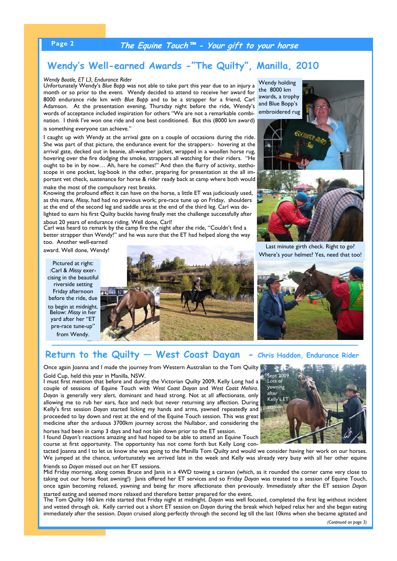# **Page 2 The Equine Touch™ - Your gift to your horse**

# **Wendy's Well-earned Awards -"The Quilty", Manilla, 2010**

### *Wendy Bootle, ET L3, Endurance Rider*

Unfortunately Wendy's *Blue Bopp* was not able to take part this year due to an injury a month or so prior to the event. Wendy decided to attend to receive her award for 8000 endurance ride km with *Blue Bopp* and to be a strapper for a friend, Carl Adamson. At the presentation evening, Thursday night before the ride, Wendy's words of acceptance included inspiration for others "We are not a remarkable combination. I think I've won one ride and one best conditioned. But this (8000 km award) is something everyone can achieve."

I caught up with Wendy at the arrival gate on a couple of occasions during the ride. She was part of that picture, the endurance event for the strappers:- hovering at the arrival gate, decked out in beanie, all-weather jacket, wrapped in a woollen horse rug, hovering over the fire dodging the smoke, strappers all watching for their riders. "He ought to be in by now… Ah, here he comes!" And then the flurry of activity, stethoscope in one pocket, log-book in the other, preparing for presentation at the all important vet check, sustenance for horse & rider ready back at camp where both would make the most of the compulsory rest breaks.

Knowing the profound effect it can have on the horse, a little ET was judiciously used, as this mare, *Missy*, had had no previous work; pre-race tune up on Friday, shoulders at the end of the second leg and saddle area at the end of the third leg. Carl was delighted to earn his first Quilty buckle having finally met the challenge successfully after

about 20 years of endurance riding. Well done, Carl! Carl was heard to remark by the camp fire the night after the ride, "Couldn't find a better strapper than Wendy!" and he was sure that the ET had helped along the way too. Another well-earned

award. Well done, Wendy!

Pictured at right: :Carl & *Missy* exercising in the beautiful riverside setting Friday afternoon before the ride, due to begin at midnight. Below: *Missy* in her yard after her "ET pre-race tune-up' from Wendy.





Last minute girth check. Right to go? Where's your helmet? Yes, need that too!



### Return to the Quilty - West Coast Dayan - Chris Haddon, Endurance Rider

Once again Joanna and I made the journey from Western Australian to the Tom Quilty Gold Cup, held this year in Manilla, NSW.

I must first mention that before and during the Victorian Quilty 2009, Kelly Long had a couple of sessions of Equine Touch with *West Coast Dayan* and *West Coast Mehira*. *Dayan* is generally very alert, dominant and head strong. Not at all affectionate, only allowing me to rub her ears, face and neck but never returning any affection. During Kelly's first session *Dayan* started licking my hands and arms, yawned repeatedly and proceeded to lay down and rest at the end of the Equine Touch session. This was great medicine after the arduous 3700km journey across the Nullabor, and considering the

horses had been in camp 3 days and had not lain down prior to the ET session. I found *Dayan's* reactions amazing and had hoped to be able to attend an Equine Touch course at first opportunity. The opportunity has not come forth but Kelly Long con-

tacted Joanna and I to let us know she was going to the Manilla Tom Quilty and would we consider having her work on our horses. We jumped at the chance, unfortunately we arrived late in the week and Kelly was already very busy with all her other equine friends so *Dayan* missed out on her ET sessions.

Mid Friday morning, along comes Bruce and Janis in a 4WD towing a caravan (which, as it rounded the corner came very close to taking out our horse float awning!) Janis offered her ET services and so Friday *Dayan* was treated to a session of Equine Touch, once again becoming relaxed, yawning and being far more affectionate then previously. Immediately after the ET session *Dayan* started eating and seemed more relaxed and therefore better prepared for the event.

The Tom Quilty 160 km ride started that Friday night at midnight. *Dayan* was well focused, completed the first leg without incident and vetted through ok. Kelly carried out a short ET session on *Dayan* during the break which helped relax her and she began eating immediately after the session. *Dayan* cruised along perfectly through the second leg till the last 10kms when she became agitated and

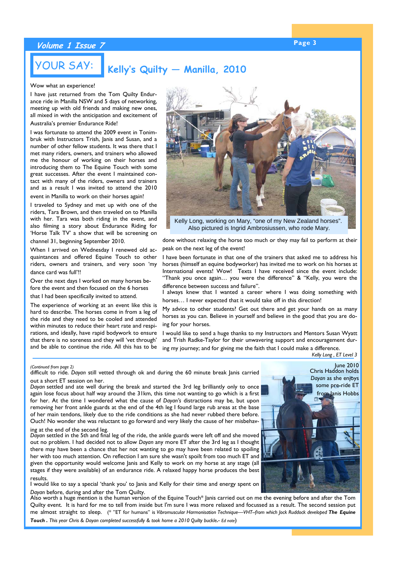# **Page 3 Volume 1 Issue 7**

# **Kelly's Quilty — Manilla, 2010**

### Wow what an experience!

YOUR SAY:

I have just returned from the Tom Quilty Endurance ride in Manilla NSW and 5 days of networking, meeting up with old friends and making new ones, all mixed in with the anticipation and excitement of Australia's premier Endurance Ride!

I was fortunate to attend the 2009 event in Tonimbruk with Instructors Trish, Janis and Susan, and a number of other fellow students. It was there that I met many riders, owners, and trainers who allowed me the honour of working on their horses and introducing them to The Equine Touch with some great successes. After the event I maintained contact with many of the riders, owners and trainers and as a result I was invited to attend the 2010 event in Manilla to work on their horses again!

I traveled to Sydney and met up with one of the riders, Tara Brown, and then traveled on to Manilla with her. Tara was both riding in the event, and also filming a story about Endurance Riding for 'Horse Talk TV' a show that will be screening on

channel 31, beginning September 2010.

When I arrived on Wednesday I renewed old acquaintances and offered Equine Touch to other riders, owners and trainers, and very soon 'my dance card was full'!!

Over the next days I worked on many horses before the event and then focused on the 6 horses

that I had been specifically invited to attend.

The experience of working at an event like this is hard to describe. The horses come in from a leg of the ride and they need to be cooled and attended within minutes to reduce their heart rate and respirations, and ideally, have rapid bodywork to ensure that there is no soreness and they will 'vet through' and be able to continue the ride. All this has to be

Kelly Long, working on Mary, "one of my New Zealand horses". Also pictured is Ingrid Ambrosiussen, who rode Mary.

done without relaxing the horse too much or they may fail to perform at their peak on the next leg of the event!

I have been fortunate in that one of the trainers that asked me to address his horses (himself an equine bodyworker) has invited me to work on his horses at International events! Wow! Texts I have received since the event include: "Thank you once again… you were the difference" & "Kelly, you were the difference between success and failure".

I always knew that I wanted a career where I was doing something with horses… I never expected that it would take off in this direction!

My advice to other students? Get out there and get your hands on as many horses as you can. Believe in yourself and believe in the good that you are doing for your horses.

I would like to send a huge thanks to my Instructors and Mentors Susan Wyatt and Trish Radke-Taylor for their unwavering support and encouragement during my journey; and for giving me the faith that I could make a difference.

*Kelly Long , ET Level 3* 

difficult to ride. *Dayan* still vetted through ok and during the 60 minute break Janis carried out a short ET session on her.

*Dayan* settled and ate well during the break and started the 3rd leg brilliantly only to once again lose focus about half way around the 31km, this time not wanting to go which is a first for her. At the time I wondered what the cause of *Dayan's* distractions may be, but upon removing her front ankle guards at the end of the 4th leg I found large rub areas at the base of her main tendons, likely due to the ride conditions as she had never rubbed there before. Ouch! No wonder she was reluctant to go forward and very likely the cause of her misbehav-

ing at the end of the second leg.

*Dayan* settled in the 5th and final leg of the ride, the ankle guards were left off and she moved out no problem. I had decided not to allow *Dayan* any more ET after the 3rd leg as I thought there may have been a chance that her not wanting to go may have been related to spoiling her with too much attention. On reflection I am sure she wasn't spoilt from too much ET and given the opportunity would welcome Janis and Kelly to work on my horse at any stage (all stages if they were available) of an endurance ride. A relaxed happy horse produces the best results.

I would like to say a special 'thank you' to Janis and Kelly for their time and energy spent on *Dayan* before, during and after the Tom Quilty.

Also worth a huge mention is the human version of the Equine Touch\* Janis carried out on me the evening before and after the Tom Quilty event. It is hard for me to tell from inside but I'm sure I was more relaxed and focussed as a result. The second session put me almost straight to sleep. (\* "ET for humans" is *Vibromuscular Harmonisation Technique—VHT--from which Jock Ruddock developed The Equine Touch . This year Chris & Dayan completed successfully & took home a 2010 Quilty buckle.- Ed note*)



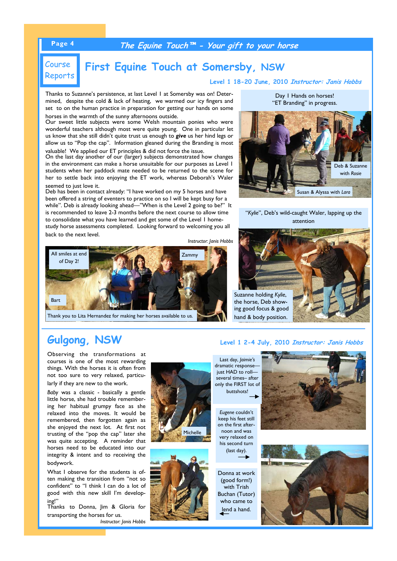## **Page 4 The Equine Touch™ - Your gift to your horse**

# Course Reports

# **First Equine Touch at Somersby, NSW**

**Level 1 18-20 June, 2010 Instructor: Janis Hobbs**

Thanks to Suzanne's persistence, at last Level 1 at Somersby was on! Determined, despite the cold & lack of heating, we warmed our icy fingers and set to on the human practice in preparation for getting our hands on some horses in the warmth of the sunny afternoons outside.

Our sweet little subjects were some Welsh mountain ponies who were wonderful teachers although most were quite young. One in particular let us know that she still didn't quite trust us enough to *give* us her hind legs or allow us to "Pop the cap". Information gleaned during the Branding is most valuable! We applied our ET principles & did not force the issue.

On the last day another of our (larger) subjects demonstrated how changes in the environment can make a horse unsuitable for our purposes as Level 1 students when her paddock mate needed to be returned to the scene for her to settle back into enjoying the ET work, whereas Deborah's Waler seemed to just love it.

Deb has been in contact already: "I have worked on my 5 horses and have been offered a string of eventers to practice on so I will be kept busy for a while". Deb is already looking ahead—"When is the Level 2 going to be?" It is recommended to leave 2-3 months before the next course to allow time to consolidate what you have learned and get some of the Level 1 homestudy horse assessments completed. Looking forward to welcoming you all back to the next level.

*Instructor: Janis Hobbs* 



Thank you to Lita Hernandez for making her horses available to us.

Day 1 Hands on horses! "ET Branding" in progress.



### "*Kylie*", Deb's wild-caught Waler, lapping up the attention

Suzanne holding *Kylie*, the horse, Deb showing good focus & good hand & body position.

# **Gulgong, NSW Level 1 2-4 July, 2010 Instructor: Janis Hobbs**

Observing the transformations at courses is one of the most rewarding things. With the horses it is often from not too sure to very relaxed, particularly if they are new to the work.

*Baby* was a classic - basically a gentle little horse, she had trouble remembering her habitual grumpy face as she relaxed into the moves. It would be remembered, then forgotten again as she enjoyed the next lot. At first not trusting of the "pop the cap" later she was quite accepting. A reminder that horses need to be educated into our integrity & intent and to receiving the bodywork.

What I observe for the students is often making the transition from "not so confident" to "I think I can do a lot of good with this new skill I'm developing!"

Thanks to Donna, Jim & Gloria for transporting the horses for us. *Instructor: Janis Hobbs*





Last day, *Jaimie's* dramatic response just HAD to roll several times– after only the FIRST lot of buttshots!

*Eugene* couldn't keep his feet still on the first afternoon and was very relaxed on his second turn (last day).

Donna at work (good form!) with Trish Buchan (Tutor) who came to lend a hand.